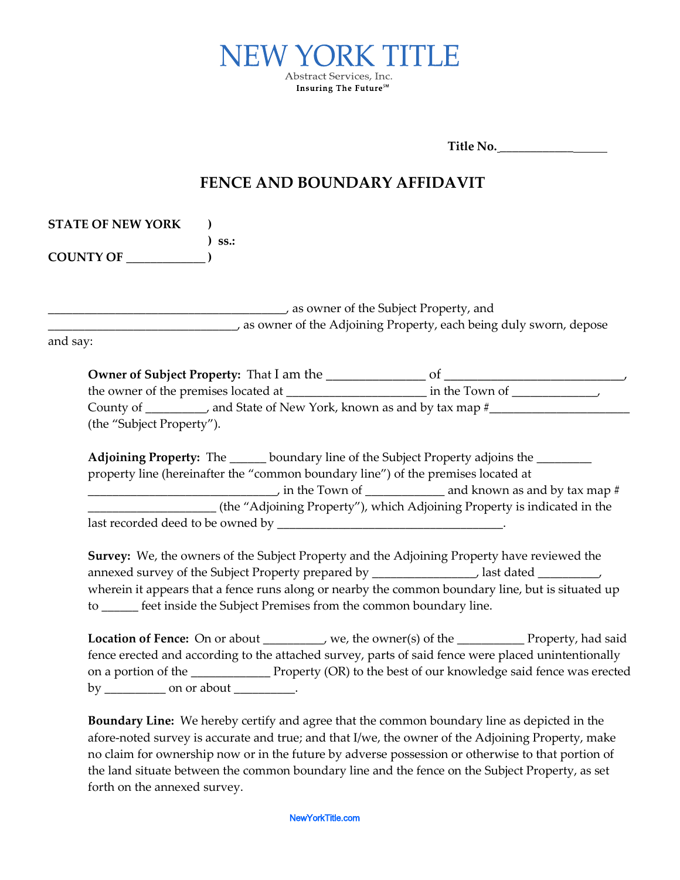

**Title No.** \_\_\_\_\_\_\_\_\_\_\_\_

## **FENCE AND BOUNDARY AFFIDAVIT**

| as owner of the Subject Property, and June 1, 2016                                                                                                                                                                                                                                                                                                                                   |                                                                          |
|--------------------------------------------------------------------------------------------------------------------------------------------------------------------------------------------------------------------------------------------------------------------------------------------------------------------------------------------------------------------------------------|--------------------------------------------------------------------------|
| as owner of the Adjoining Property, each being duly sworn, depose<br>and say:                                                                                                                                                                                                                                                                                                        |                                                                          |
|                                                                                                                                                                                                                                                                                                                                                                                      |                                                                          |
|                                                                                                                                                                                                                                                                                                                                                                                      |                                                                          |
| County of __________, and State of New York, known as and by tax map #______________________________<br>(the "Subject Property").                                                                                                                                                                                                                                                    |                                                                          |
| Adjoining Property: The ______ boundary line of the Subject Property adjoins the _______                                                                                                                                                                                                                                                                                             |                                                                          |
| property line (hereinafter the "common boundary line") of the premises located at                                                                                                                                                                                                                                                                                                    |                                                                          |
|                                                                                                                                                                                                                                                                                                                                                                                      |                                                                          |
|                                                                                                                                                                                                                                                                                                                                                                                      | (the "Adjoining Property"), which Adjoining Property is indicated in the |
|                                                                                                                                                                                                                                                                                                                                                                                      |                                                                          |
|                                                                                                                                                                                                                                                                                                                                                                                      |                                                                          |
| Survey: We, the owners of the Subject Property and the Adjoining Property have reviewed the<br>annexed survey of the Subject Property prepared by ______________________, last dated ______________<br>wherein it appears that a fence runs along or nearby the common boundary line, but is situated up<br>to _____ feet inside the Subject Premises from the common boundary line. |                                                                          |

no claim for ownership now or in the future by adverse possession or otherwise to that portion of the land situate between the common boundary line and the fence on the Subject Property, as set forth on the annexed survey.

NewYorkTitle.com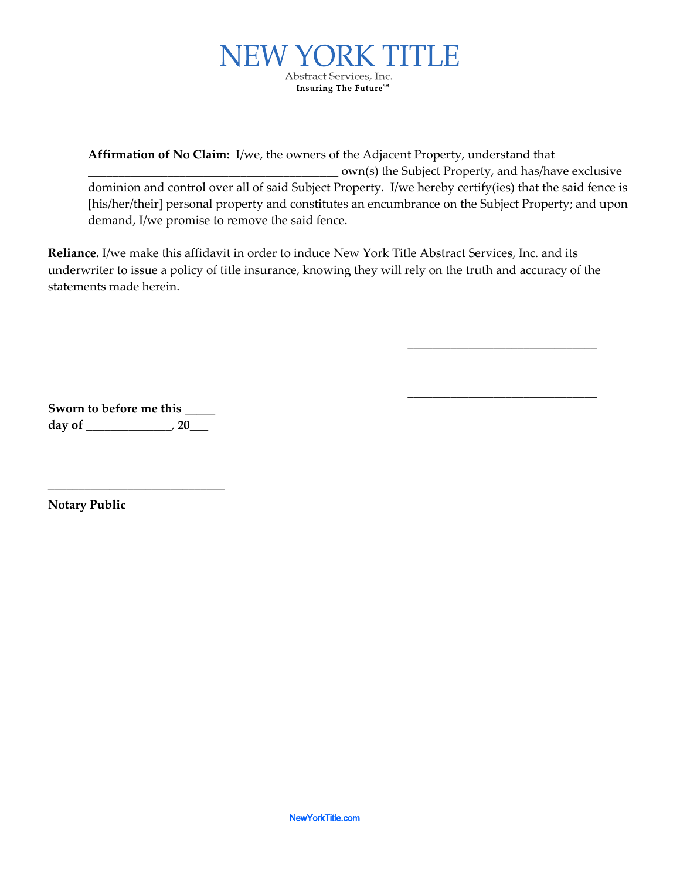

**Affirmation of No Claim:** I/we, the owners of the Adjacent Property, understand that \_\_\_\_\_\_\_\_\_\_\_\_\_\_\_\_\_\_\_\_\_\_\_\_\_\_\_\_\_\_\_\_\_\_\_\_\_\_\_\_\_ own(s) the Subject Property, and has/have exclusive dominion and control over all of said Subject Property. I/we hereby certify(ies) that the said fence is [his/her/their] personal property and constitutes an encumbrance on the Subject Property; and upon demand, I/we promise to remove the said fence.

\_\_\_\_\_\_\_\_\_\_\_\_\_\_\_\_\_\_\_\_\_\_\_\_\_\_\_\_\_\_\_

\_\_\_\_\_\_\_\_\_\_\_\_\_\_\_\_\_\_\_\_\_\_\_\_\_\_\_\_\_\_\_

**Reliance***.* I/we make this affidavit in order to induce New York Title Abstract Services, Inc. and its underwriter to issue a policy of title insurance, knowing they will rely on the truth and accuracy of the statements made herein.

**Sworn to before me this** \_\_\_\_\_ **day of** \_\_\_\_\_\_\_\_\_\_\_\_\_\_, **20**\_\_\_

\_\_\_\_\_\_\_\_\_\_\_\_\_\_\_\_\_\_\_\_\_\_\_\_\_\_\_\_\_

**Notary Public**